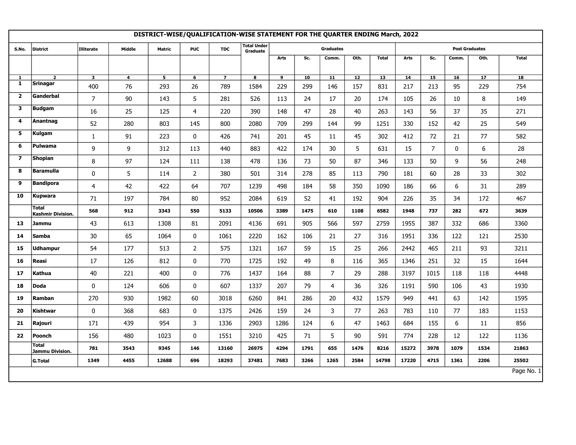|                         | DISTRICT-WISE/QUALIFICATION-WISE STATEMENT FOR THE QUARTER ENDING March, 2022 |                         |                         |                |                 |                |                                |                |      |                  |      |                 |       |                       |             |      |              |  |
|-------------------------|-------------------------------------------------------------------------------|-------------------------|-------------------------|----------------|-----------------|----------------|--------------------------------|----------------|------|------------------|------|-----------------|-------|-----------------------|-------------|------|--------------|--|
| S.No.                   | District                                                                      | <b>Illiterate</b>       | Middle                  | Matric         | <b>PUC</b>      | <b>TDC</b>     | <b>Total Under</b><br>Graduate |                |      | <b>Graduates</b> |      |                 |       | <b>Post Graduates</b> |             |      |              |  |
|                         |                                                                               |                         |                         |                |                 |                |                                | Arts           | Sc.  | Comm.            | Oth. | <b>Total</b>    | Arts  | Sc.                   | Comm.       | Oth. | <b>Total</b> |  |
| $\mathbf{1}$            | $\overline{2}$                                                                | $\overline{\mathbf{3}}$ | $\overline{\mathbf{4}}$ | 5 <sub>5</sub> | $6\overline{6}$ | $\overline{7}$ | $\overline{\mathbf{8}}$        | $\overline{9}$ | 10   | 11               | 12   | $\overline{13}$ | 14    | 15                    | 16          | 17   | 18           |  |
| 1                       | <b>Srinagar</b>                                                               | 400                     | 76                      | 293            | 26              | 789            | 1584                           | 229            | 299  | 146              | 157  | 831             | 217   | 213                   | 95          | 229  | 754          |  |
| $\overline{2}$          | Ganderbal                                                                     | $\overline{7}$          | 90                      | 143            | 5               | 281            | 526                            | 113            | 24   | 17               | 20   | 174             | 105   | 26                    | 10          | 8    | 149          |  |
| 3                       | <b>Budgam</b>                                                                 | 16                      | 25                      | 125            | 4               | 220            | 390                            | 148            | 47   | 28               | 40   | 263             | 143   | 56                    | 37          | 35   | 271          |  |
| $\overline{4}$          | Anantnag                                                                      | 52                      | 280                     | 803            | 145             | 800            | 2080                           | 709            | 299  | 144              | 99   | 1251            | 330   | 152                   | 42          | 25   | 549          |  |
| 5                       | Kulgam                                                                        | $\mathbf{1}$            | 91                      | 223            | 0               | 426            | 741                            | 201            | 45   | 11               | 45   | 302             | 412   | 72                    | 21          | 77   | 582          |  |
| 6                       | Pulwama                                                                       | 9                       | 9                       | 312            | 113             | 440            | 883                            | 422            | 174  | 30               | 5    | 631             | 15    | $\overline{7}$        | $\mathbf 0$ | 6    | 28           |  |
| $\overline{\mathbf{z}}$ | <b>Shopian</b>                                                                | 8                       | 97                      | 124            | 111             | 138            | 478                            | 136            | 73   | 50               | 87   | 346             | 133   | 50                    | 9           | 56   | 248          |  |
| 8                       | <b>Baramulla</b>                                                              | $\pmb{0}$               | 5                       | 114            | $\overline{a}$  | 380            | 501                            | 314            | 278  | 85               | 113  | 790             | 181   | 60                    | 28          | 33   | 302          |  |
| 9                       | <b>Bandipora</b>                                                              | 4                       | 42                      | 422            | 64              | 707            | 1239                           | 498            | 184  | 58               | 350  | 1090            | 186   | 66                    | 6           | 31   | 289          |  |
| 10                      | <b>Kupwara</b>                                                                | 71                      | 197                     | 784            | 80              | 952            | 2084                           | 619            | 52   | 41               | 192  | 904             | 226   | 35                    | 34          | 172  | 467          |  |
|                         | <b>Total</b><br>Kashmir Division.                                             | 568                     | 912                     | 3343           | 550             | 5133           | 10506                          | 3389           | 1475 | 610              | 1108 | 6582            | 1948  | 737                   | 282         | 672  | 3639         |  |
| 13                      | <b>Jammu</b>                                                                  | 43                      | 613                     | 1308           | 81              | 2091           | 4136                           | 691            | 905  | 566              | 597  | 2759            | 1955  | 387                   | 332         | 686  | 3360         |  |
| 14                      | <b>Samba</b>                                                                  | 30                      | 65                      | 1064           | 0               | 1061           | 2220                           | 162            | 106  | 21               | 27   | 316             | 1951  | 336                   | 122         | 121  | 2530         |  |
| 15                      | <b>Udhampur</b>                                                               | 54                      | 177                     | 513            | $\overline{2}$  | 575            | 1321                           | 167            | 59   | 15               | 25   | 266             | 2442  | 465                   | 211         | 93   | 3211         |  |
| 16                      | Reasi                                                                         | 17                      | 126                     | 812            | 0               | 770            | 1725                           | 192            | 49   | 8                | 116  | 365             | 1346  | 251                   | 32          | 15   | 1644         |  |
| 17                      | Kathua                                                                        | 40                      | 221                     | 400            | $\mathbf 0$     | 776            | 1437                           | 164            | 88   | $\overline{7}$   | 29   | 288             | 3197  | 1015                  | 118         | 118  | 4448         |  |
| 18                      | <b>Doda</b>                                                                   | 0                       | 124                     | 606            | 0               | 607            | 1337                           | 207            | 79   | $\overline{4}$   | 36   | 326             | 1191  | 590                   | 106         | 43   | 1930         |  |
| 19                      | Ramban                                                                        | 270                     | 930                     | 1982           | 60              | 3018           | 6260                           | 841            | 286  | 20               | 432  | 1579            | 949   | 441                   | 63          | 142  | 1595         |  |
| 20                      | Kishtwar                                                                      | 0                       | 368                     | 683            | 0               | 1375           | 2426                           | 159            | 24   | 3                | 77   | 263             | 783   | 110                   | 77          | 183  | 1153         |  |
| 21                      | Rajouri                                                                       | 171                     | 439                     | 954            | 3               | 1336           | 2903                           | 1286           | 124  | 6                | 47   | 1463            | 684   | 155                   | 6           | 11   | 856          |  |
| 22                      | Poonch                                                                        | 156                     | 480                     | 1023           | 0               | 1551           | 3210                           | 425            | 71   | 5                | 90   | 591             | 774   | 228                   | 12          | 122  | 1136         |  |
|                         | Total<br>Jammu Division.                                                      | 781                     | 3543                    | 9345           | 146             | 13160          | 26975                          | 4294           | 1791 | 655              | 1476 | 8216            | 15272 | 3978                  | 1079        | 1534 | 21863        |  |
|                         | <b>G.Total</b>                                                                | 1349                    | 4455                    | 12688          | 696             | 18293          | 37481                          | 7683           | 3266 | 1265             | 2584 | 14798           | 17220 | 4715                  | 1361        | 2206 | 25502        |  |
|                         |                                                                               |                         |                         |                |                 |                |                                |                |      |                  |      |                 |       |                       |             |      | Page No. 1   |  |